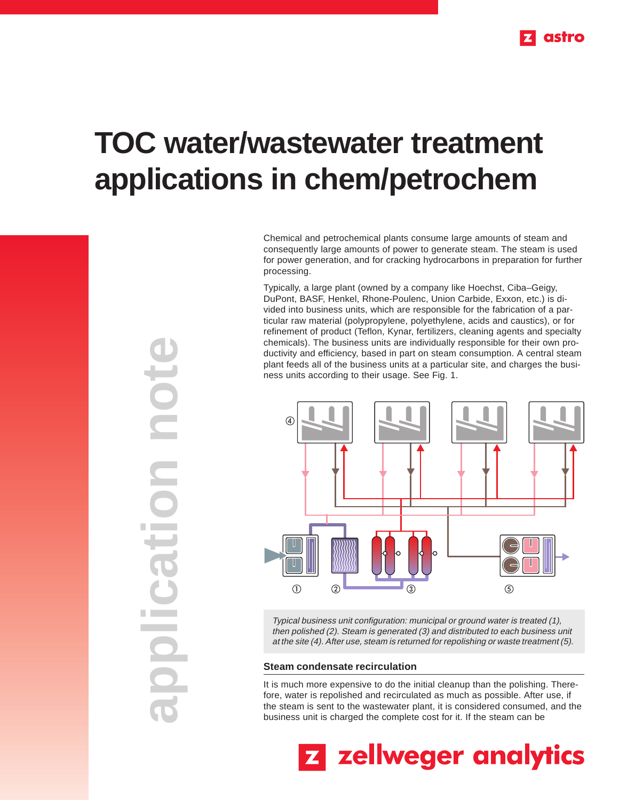

# **TOC water/wastewater treatment applications in chem/petrochem**

Chemical and petrochemical plants consume large amounts of steam and consequently large amounts of power to generate steam. The steam is used for power generation, and for cracking hydrocarbons in preparation for further processing.

Typically, a large plant (owned by a company like Hoechst, Ciba–Geigy, DuPont, BASF, Henkel, Rhone-Poulenc, Union Carbide, Exxon, etc.) is divided into business units, which are responsible for the fabrication of a particular raw material (polypropylene, polyethylene, acids and caustics), or for refinement of product (Teflon, Kynar, fertilizers, cleaning agents and specialty chemicals). The business units are individually responsible for their own productivity and efficiency, based in part on steam consumption. A central steam plant feeds all of the business units at a particular site, and charges the business units according to their usage. See Fig. 1.



Typical business unit configuration: municipal or ground water is treated (1), then polished (2). Steam is generated (3) and distributed to each business unit at the site (4). After use, steam is returned for repolishing or waste treatment (5).

#### **Steam condensate recirculation**

It is much more expensive to do the initial cleanup than the polishing. Therefore, water is repolished and recirculated as much as possible. After use, if the steam is sent to the wastewater plant, it is considered consumed, and the business unit is charged the complete cost for it. If the steam can be

z zellweger analytics

**application note** note